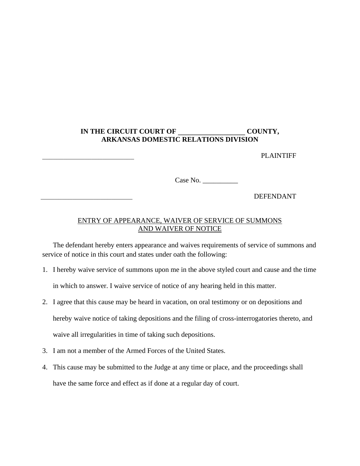## **IN THE CIRCUIT COURT OF \_\_\_\_\_\_\_\_\_\_\_\_\_\_\_\_\_\_\_ COUNTY, ARKANSAS DOMESTIC RELATIONS DIVISION**

PLAINTIFF

Case No. \_\_\_\_\_\_\_\_\_\_

\_\_\_\_\_\_\_\_\_\_\_\_\_\_\_\_\_\_\_\_\_\_\_\_\_\_ DEFENDANT

## ENTRY OF APPEARANCE, WAIVER OF SERVICE OF SUMMONS AND WAIVER OF NOTICE

The defendant hereby enters appearance and waives requirements of service of summons and service of notice in this court and states under oath the following:

- 1. I hereby waive service of summons upon me in the above styled court and cause and the time in which to answer. I waive service of notice of any hearing held in this matter.
- 2. I agree that this cause may be heard in vacation, on oral testimony or on depositions and hereby waive notice of taking depositions and the filing of cross-interrogatories thereto, and waive all irregularities in time of taking such depositions.
- 3. I am not a member of the Armed Forces of the United States.
- 4. This cause may be submitted to the Judge at any time or place, and the proceedings shall have the same force and effect as if done at a regular day of court.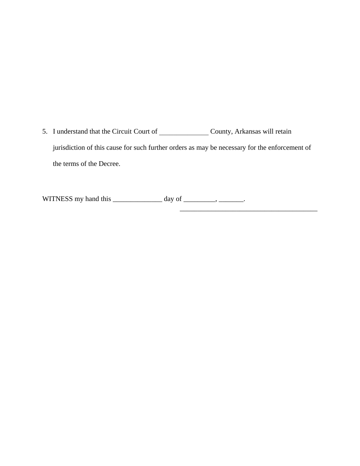5. I understand that the Circuit Court of \_\_\_\_\_\_\_\_\_\_\_\_\_\_\_\_\_\_\_\_\_ County, Arkansas will retain jurisdiction of this cause for such further orders as may be necessary for the enforcement of the terms of the Decree.

 $\overline{\phantom{a}}$  , and the set of the set of the set of the set of the set of the set of the set of the set of the set of the set of the set of the set of the set of the set of the set of the set of the set of the set of the s

WITNESS my hand this \_\_\_\_\_\_\_\_\_\_\_\_\_\_\_\_\_ day of \_\_\_\_\_\_\_\_\_, \_\_\_\_\_\_\_.